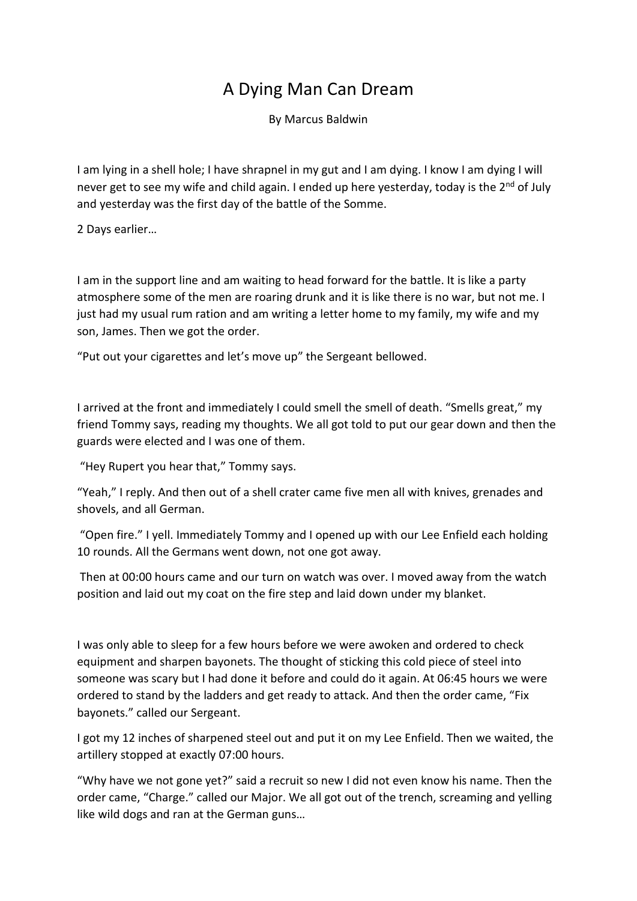## A Dying Man Can Dream

By Marcus Baldwin

I am lying in a shell hole; I have shrapnel in my gut and I am dying. I know I am dying I will never get to see my wife and child again. I ended up here yesterday, today is the 2<sup>nd</sup> of July and yesterday was the first day of the battle of the Somme.

2 Days earlier…

I am in the support line and am waiting to head forward for the battle. It is like a party atmosphere some of the men are roaring drunk and it is like there is no war, but not me. I just had my usual rum ration and am writing a letter home to my family, my wife and my son, James. Then we got the order.

"Put out your cigarettes and let's move up" the Sergeant bellowed.

I arrived at the front and immediately I could smell the smell of death. "Smells great," my friend Tommy says, reading my thoughts. We all got told to put our gear down and then the guards were elected and I was one of them.

"Hey Rupert you hear that," Tommy says.

"Yeah," I reply. And then out of a shell crater came five men all with knives, grenades and shovels, and all German.

"Open fire." I yell. Immediately Tommy and I opened up with our Lee Enfield each holding 10 rounds. All the Germans went down, not one got away.

Then at 00:00 hours came and our turn on watch was over. I moved away from the watch position and laid out my coat on the fire step and laid down under my blanket.

I was only able to sleep for a few hours before we were awoken and ordered to check equipment and sharpen bayonets. The thought of sticking this cold piece of steel into someone was scary but I had done it before and could do it again. At 06:45 hours we were ordered to stand by the ladders and get ready to attack. And then the order came, "Fix bayonets." called our Sergeant.

I got my 12 inches of sharpened steel out and put it on my Lee Enfield. Then we waited, the artillery stopped at exactly 07:00 hours.

"Why have we not gone yet?" said a recruit so new I did not even know his name. Then the order came, "Charge." called our Major. We all got out of the trench, screaming and yelling like wild dogs and ran at the German guns…